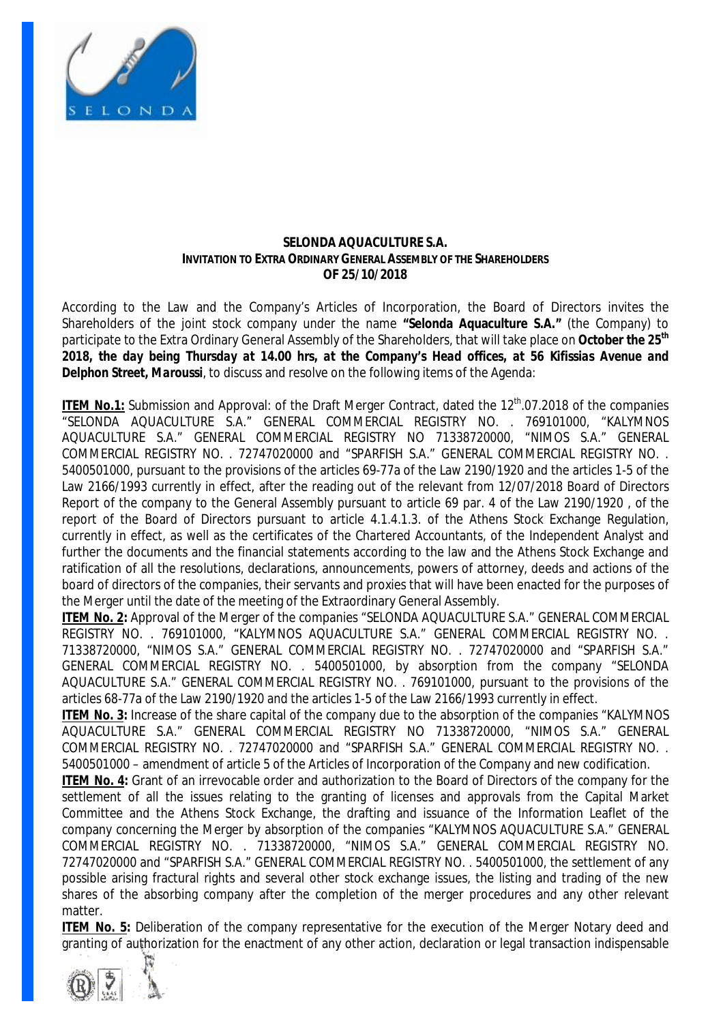

#### **SELONDA AQUACULTURE S.A. INVITATION TO EXTRA ORDINARY GENERAL ASSEMBLY OF THE SHAREHOLDERS OF 25/10/2018**

According to the Law and the Company's Articles of Incorporation, the Board of Directors invites the Shareholders of the joint stock company under the name **"Selonda Aquaculture S.A."** (the Company) to participate to the Extra Ordinary General Assembly of the Shareholders, that will take place on **October** *the 25th* 2018, the day being Thursday at 14.00 hrs, at the Company's Head offices, at 56 Kifissias Avenue and *Delphon Street, Maroussi*, to discuss and resolve on the following items of the Agenda:

ITEM No.1: Submission and Approval: of the Draft Merger Contract, dated the 12<sup>th</sup>.07.2018 of the companies "SELONDA AQUACULTURE S.A." GENERAL COMMERCIAL REGISTRY NO. . 769101000, "KALYMNOS AQUACULTURE S.A." GENERAL COMMERCIAL REGISTRY NO 71338720000, "NIMOS S.A." GENERAL COMMERCIAL REGISTRY NO. . 72747020000 and "SPARFISH S.A." GENERAL COMMERCIAL REGISTRY NO. . 5400501000, pursuant to the provisions of the articles 69-77a of the Law 2190/1920 and the articles 1-5 of the Law 2166/1993 currently in effect, after the reading out of the relevant from 12/07/2018 Board of Directors Report of the company to the General Assembly pursuant to article 69 par. 4 of the Law 2190/1920 , of the report of the Board of Directors pursuant to article 4.1.4.1.3. of the Athens Stock Exchange Regulation, currently in effect, as well as the certificates of the Chartered Accountants, of the Independent Analyst and further the documents and the financial statements according to the law and the Athens Stock Exchange and ratification of all the resolutions, declarations, announcements, powers of attorney, deeds and actions of the board of directors of the companies, their servants and proxies that will have been enacted for the purposes of the Merger until the date of the meeting of the Extraordinary General Assembly.

**ITEM No. 2:** Approval of the Merger of the companies "SELONDA AQUACULTURE S.A." GENERAL COMMERCIAL REGISTRY NO. . 769101000, "KALYMNOS AQUACULTURE S.A." GENERAL COMMERCIAL REGISTRY NO. . 71338720000, "NIMOS S.A." GENERAL COMMERCIAL REGISTRY NO. . 72747020000 and "SPARFISH S.A." GENERAL COMMERCIAL REGISTRY NO. . 5400501000, by absorption from the company "SELONDA AQUACULTURE S.A." GENERAL COMMERCIAL REGISTRY NO. . 769101000, pursuant to the provisions of the articles 68-77a of the Law 2190/1920 and the articles 1-5 of the Law 2166/1993 currently in effect.

**ITEM No. 3:** Increase of the share capital of the company due to the absorption of the companies "KALYMNOS AQUACULTURE S.A." GENERAL COMMERCIAL REGISTRY NO 71338720000, "NIMOS S.A." GENERAL COMMERCIAL REGISTRY NO. . 72747020000 and "SPARFISH S.A." GENERAL COMMERCIAL REGISTRY NO. . 5400501000 – amendment of article 5 of the Articles of Incorporation of the Company and new codification.

**ITEM No. 4:** Grant of an irrevocable order and authorization to the Board of Directors of the company for the settlement of all the issues relating to the granting of licenses and approvals from the Capital Market Committee and the Athens Stock Exchange, the drafting and issuance of the Information Leaflet of the company concerning the Merger by absorption of the companies "KALYMNOS AQUACULTURE S.A." GENERAL COMMERCIAL REGISTRY NO. . 71338720000, "NIMOS S.A." GENERAL COMMERCIAL REGISTRY NO. 72747020000 and "SPARFISH S.A." GENERAL COMMERCIAL REGISTRY NO. . 5400501000, the settlement of any possible arising fractural rights and several other stock exchange issues, the listing and trading of the new shares of the absorbing company after the completion of the merger procedures and any other relevant matter.

**ITEM No. 5:** Deliberation of the company representative for the execution of the Merger Notary deed and granting of authorization for the enactment of any other action, declaration or legal transaction indispensable

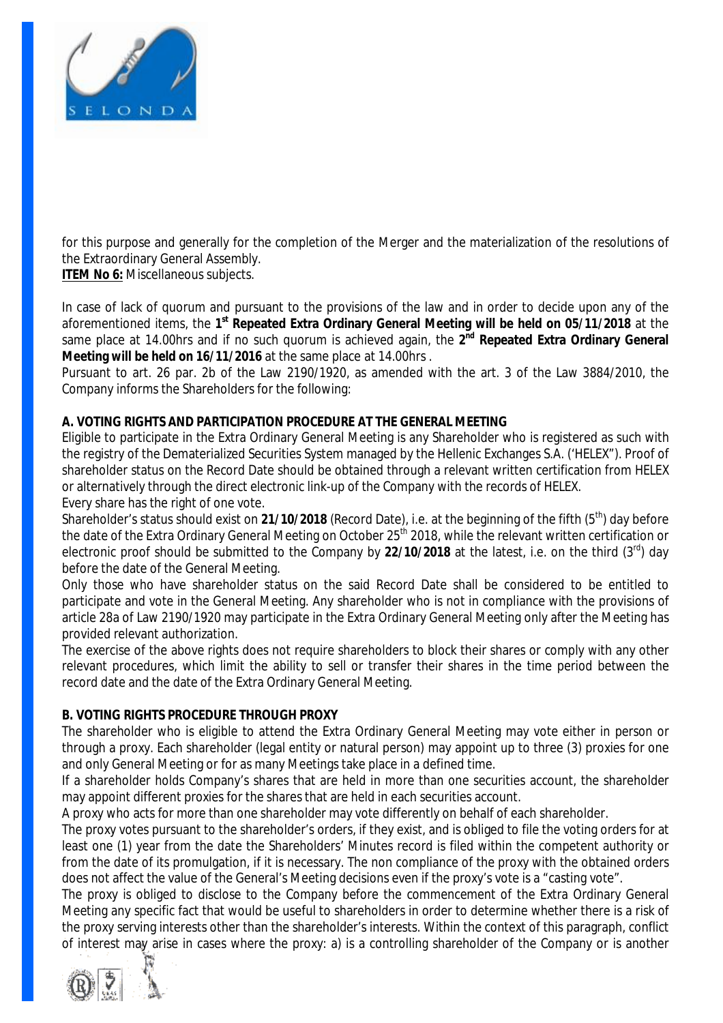

for this purpose and generally for the completion of the Merger and the materialization of the resolutions of the Extraordinary General Assembly.

**ITEM No 6:** Miscellaneous subjects.

In case of lack of quorum and pursuant to the provisions of the law and in order to decide upon any of the aforementioned items, the **1 st Repeated Extra Ordinary General Meeting will be held on 05/11/2018** at the same place at 14.00hrs and if no such quorum is achieved again, the **2 nd Repeated Extra Ordinary General Meeting will be held on 16/11/2016** at the same place at 14.00hrs .

Pursuant to art. 26 par. 2b of the Law 2190/1920, as amended with the art. 3 of the Law 3884/2010, the Company informs the Shareholders for the following:

# **A. VOTING RIGHTS AND PARTICIPATION PROCEDURE AT THE GENERAL MEETING**

Eligible to participate in the Extra Ordinary General Meeting is any Shareholder who is registered as such with the registry of the Dematerialized Securities System managed by the Hellenic Exchanges S.A. ('HELEX"). Proof of shareholder status on the Record Date should be obtained through a relevant written certification from HELEX or alternatively through the direct electronic link-up of the Company with the records of HELEX. Every share has the right of one vote.

Shareholder's status should exist on 21/10/2018 (Record Date), i.e. at the beginning of the fifth (5<sup>th</sup>) day before the date of the Extra Ordinary General Meeting on October 25<sup>th</sup> 2018, while the relevant written certification or electronic proof should be submitted to the Company by **22/10/2018** at the latest, i.e. on the third (3rd) day before the date of the General Meeting.

Only those who have shareholder status on the said Record Date shall be considered to be entitled to participate and vote in the General Meeting. Any shareholder who is not in compliance with the provisions of article 28a of Law 2190/1920 may participate in the Extra Ordinary General Meeting only after the Meeting has provided relevant authorization.

The exercise of the above rights does not require shareholders to block their shares or comply with any other relevant procedures, which limit the ability to sell or transfer their shares in the time period between the record date and the date of the Extra Ordinary General Meeting.

## **B. VOTING RIGHTS PROCEDURE THROUGH PROXY**

The shareholder who is eligible to attend the Extra Ordinary General Meeting may vote either in person or through a proxy. Each shareholder (legal entity or natural person) may appoint up to three (3) proxies for one and only General Meeting or for as many Meetings take place in a defined time.

If a shareholder holds Company's shares that are held in more than one securities account, the shareholder may appoint different proxies for the shares that are held in each securities account.

A proxy who acts for more than one shareholder may vote differently on behalf of each shareholder.

The proxy votes pursuant to the shareholder's orders, if they exist, and is obliged to file the voting orders for at least one (1) year from the date the Shareholders' Minutes record is filed within the competent authority or from the date of its promulgation, if it is necessary. The non compliance of the proxy with the obtained orders does not affect the value of the General's Meeting decisions even if the proxy's vote is a "casting vote".

The proxy is obliged to disclose to the Company before the commencement of the Extra Ordinary General Meeting any specific fact that would be useful to shareholders in order to determine whether there is a risk of the proxy serving interests other than the shareholder's interests. Within the context of this paragraph, conflict of interest may arise in cases where the proxy: a) is a controlling shareholder of the Company or is another

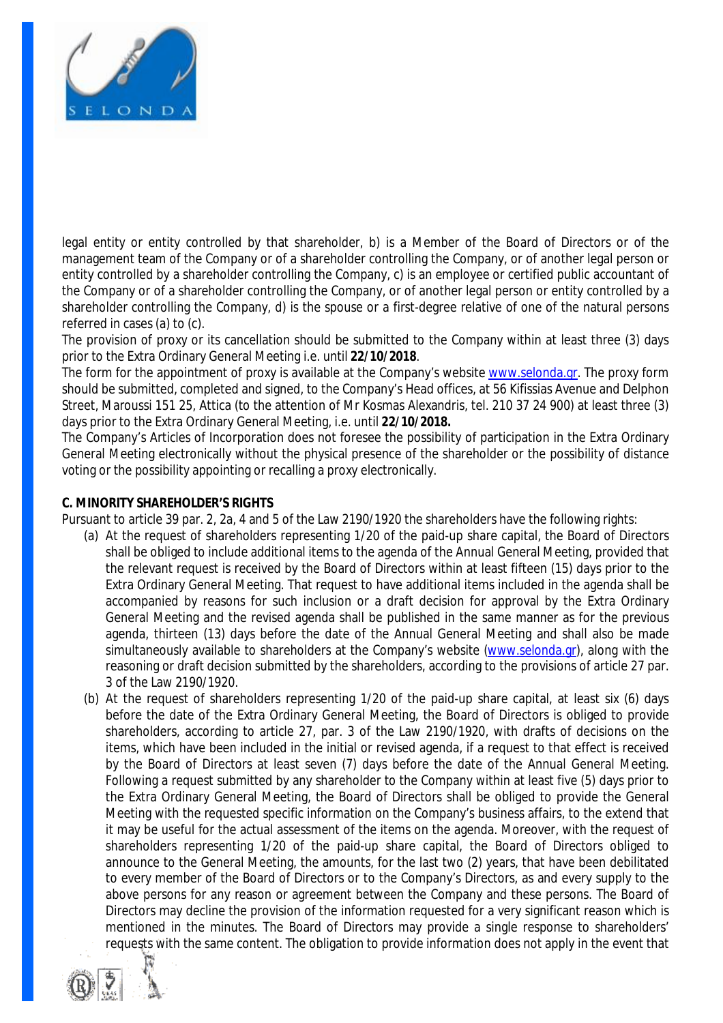

legal entity or entity controlled by that shareholder, b) is a Member of the Board of Directors or of the management team of the Company or of a shareholder controlling the Company, or of another legal person or entity controlled by a shareholder controlling the Company, c) is an employee or certified public accountant of the Company or of a shareholder controlling the Company, or of another legal person or entity controlled by a shareholder controlling the Company, d) is the spouse or a first-degree relative of one of the natural persons referred in cases (a) to (c).

The provision of proxy or its cancellation should be submitted to the Company within at least three (3) days prior to the Extra Ordinary General Meeting i.e. until **22/10/2018**.

The form for the appointment of proxy is available at the Company's website [www.selonda.gr](http://www.selonda.gr). The proxy form should be submitted, completed and signed, to the Company's Head offices, at 56 Kifissias Avenue and Delphon Street, Maroussi 151 25, Attica (to the attention of Mr Kosmas Alexandris, tel. 210 37 24 900) at least three (3) days prior to the Extra Ordinary General Meeting, i.e. until **22/10/2018.** 

The Company's Articles of Incorporation does not foresee the possibility of participation in the Extra Ordinary General Meeting electronically without the physical presence of the shareholder or the possibility of distance voting or the possibility appointing or recalling a proxy electronically.

#### **C. MINORITY SHAREHOLDER'S RIGHTS**

Pursuant to article 39 par. 2, 2a, 4 and 5 of the Law 2190/1920 the shareholders have the following rights:

- (a) At the request of shareholders representing 1/20 of the paid-up share capital, the Board of Directors shall be obliged to include additional items to the agenda of the Annual General Meeting, provided that the relevant request is received by the Board of Directors within at least fifteen (15) days prior to the Extra Ordinary General Meeting. That request to have additional items included in the agenda shall be accompanied by reasons for such inclusion or a draft decision for approval by the Extra Ordinary General Meeting and the revised agenda shall be published in the same manner as for the previous agenda, thirteen (13) days before the date of the Annual General Meeting and shall also be made simultaneously available to shareholders at the Company's website [\(www.selonda.gr](http://www.selonda.gr)), along with the reasoning or draft decision submitted by the shareholders, according to the provisions of article 27 par. 3 of the Law 2190/1920.
- (b) At the request of shareholders representing 1/20 of the paid-up share capital, at least six (6) days before the date of the Extra Ordinary General Meeting, the Board of Directors is obliged to provide shareholders, according to article 27, par. 3 of the Law 2190/1920, with drafts of decisions on the items, which have been included in the initial or revised agenda, if a request to that effect is received by the Board of Directors at least seven (7) days before the date of the Annual General Meeting. Following a request submitted by any shareholder to the Company within at least five (5) days prior to the Extra Ordinary General Meeting, the Board of Directors shall be obliged to provide the General Meeting with the requested specific information on the Company's business affairs, to the extend that it may be useful for the actual assessment of the items on the agenda. Moreover, with the request of shareholders representing 1/20 of the paid-up share capital, the Board of Directors obliged to announce to the General Meeting, the amounts, for the last two (2) years, that have been debilitated to every member of the Board of Directors or to the Company's Directors, as and every supply to the above persons for any reason or agreement between the Company and these persons. The Board of Directors may decline the provision of the information requested for a very significant reason which is mentioned in the minutes. The Board of Directors may provide a single response to shareholders' requests with the same content. The obligation to provide information does not apply in the event that